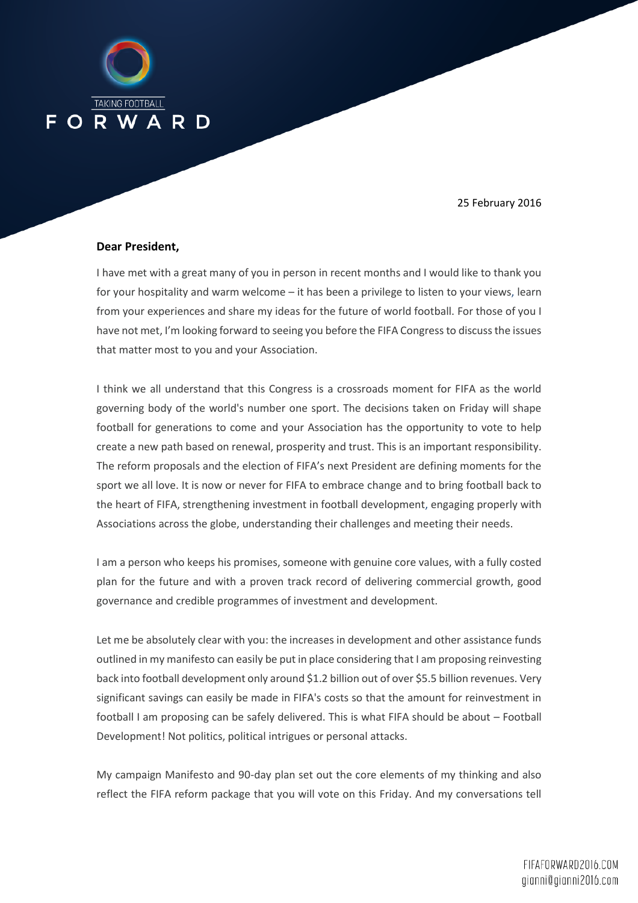

25 February 2016

## **Dear President,**

I have met with a great many of you in person in recent months and I would like to thank you for your hospitality and warm welcome – it has been a privilege to listen to your views, learn from your experiences and share my ideas for the future of world football. For those of you I have not met, I'm looking forward to seeing you before the FIFA Congress to discuss the issues that matter most to you and your Association.

I think we all understand that this Congress is a crossroads moment for FIFA as the world governing body of the world's number one sport. The decisions taken on Friday will shape football for generations to come and your Association has the opportunity to vote to help create a new path based on renewal, prosperity and trust. This is an important responsibility. The reform proposals and the election of FIFA's next President are defining moments for the sport we all love. It is now or never for FIFA to embrace change and to bring football back to the heart of FIFA, strengthening investment in football development, engaging properly with Associations across the globe, understanding their challenges and meeting their needs.

I am a person who keeps his promises, someone with genuine core values, with a fully costed plan for the future and with a proven track record of delivering commercial growth, good governance and credible programmes of investment and development.

Let me be absolutely clear with you: the increases in development and other assistance funds outlined in my manifesto can easily be put in place considering that I am proposing reinvesting back into football development only around \$1.2 billion out of over \$5.5 billion revenues. Very significant savings can easily be made in FIFA's costs so that the amount for reinvestment in football I am proposing can be safely delivered. This is what FIFA should be about – Football Development! Not politics, political intrigues or personal attacks.

My campaign Manifesto and 90-day plan set out the core elements of my thinking and also reflect the FIFA reform package that you will vote on this Friday. And my conversations tell